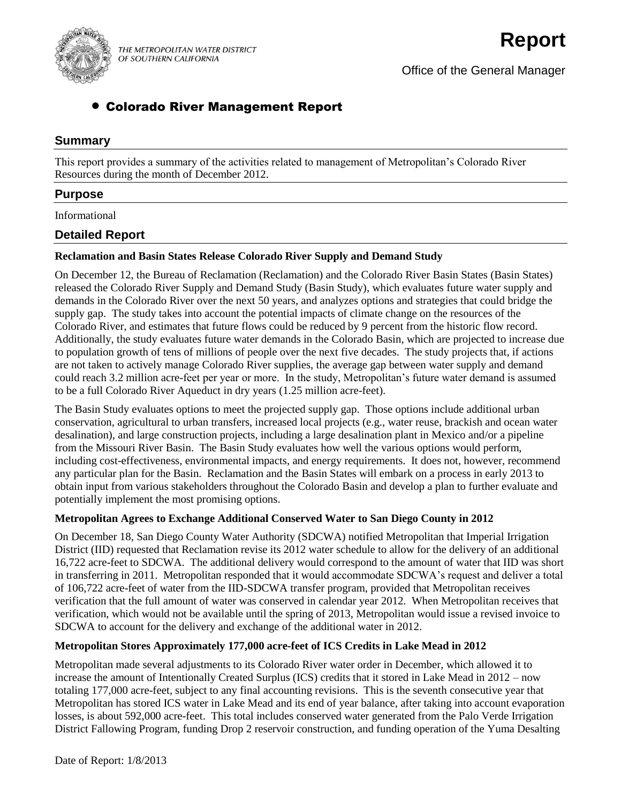

THE METROPOLITAN WATER DISTRICT OF SOUTHERN CALIFORNIA

# Colorado River Management Report

# **Summary**

This report provides a summary of the activities related to management of Metropolitan's Colorado River Resources during the month of December 2012.

# **Purpose**

Informational

# **Detailed Report**

### **Reclamation and Basin States Release Colorado River Supply and Demand Study**

On December 12, the Bureau of Reclamation (Reclamation) and the Colorado River Basin States (Basin States) released the Colorado River Supply and Demand Study (Basin Study), which evaluates future water supply and demands in the Colorado River over the next 50 years, and analyzes options and strategies that could bridge the supply gap. The study takes into account the potential impacts of climate change on the resources of the Colorado River, and estimates that future flows could be reduced by 9 percent from the historic flow record. Additionally, the study evaluates future water demands in the Colorado Basin, which are projected to increase due to population growth of tens of millions of people over the next five decades. The study projects that, if actions are not taken to actively manage Colorado River supplies, the average gap between water supply and demand could reach 3.2 million acre-feet per year or more. In the study, Metropolitan's future water demand is assumed to be a full Colorado River Aqueduct in dry years (1.25 million acre-feet).

The Basin Study evaluates options to meet the projected supply gap. Those options include additional urban conservation, agricultural to urban transfers, increased local projects (e.g., water reuse, brackish and ocean water desalination), and large construction projects, including a large desalination plant in Mexico and/or a pipeline from the Missouri River Basin. The Basin Study evaluates how well the various options would perform, including cost-effectiveness, environmental impacts, and energy requirements. It does not, however, recommend any particular plan for the Basin. Reclamation and the Basin States will embark on a process in early 2013 to obtain input from various stakeholders throughout the Colorado Basin and develop a plan to further evaluate and potentially implement the most promising options.

#### **Metropolitan Agrees to Exchange Additional Conserved Water to San Diego County in 2012**

On December 18, San Diego County Water Authority (SDCWA) notified Metropolitan that Imperial Irrigation District (IID) requested that Reclamation revise its 2012 water schedule to allow for the delivery of an additional 16,722 acre-feet to SDCWA. The additional delivery would correspond to the amount of water that IID was short in transferring in 2011. Metropolitan responded that it would accommodate SDCWA's request and deliver a total of 106,722 acre-feet of water from the IID-SDCWA transfer program, provided that Metropolitan receives verification that the full amount of water was conserved in calendar year 2012. When Metropolitan receives that verification, which would not be available until the spring of 2013, Metropolitan would issue a revised invoice to SDCWA to account for the delivery and exchange of the additional water in 2012.

#### **Metropolitan Stores Approximately 177,000 acre-feet of ICS Credits in Lake Mead in 2012**

Metropolitan made several adjustments to its Colorado River water order in December, which allowed it to increase the amount of Intentionally Created Surplus (ICS) credits that it stored in Lake Mead in 2012 – now totaling 177,000 acre-feet, subject to any final accounting revisions. This is the seventh consecutive year that Metropolitan has stored ICS water in Lake Mead and its end of year balance, after taking into account evaporation losses, is about 592,000 acre-feet. This total includes conserved water generated from the Palo Verde Irrigation District Fallowing Program, funding Drop 2 reservoir construction, and funding operation of the Yuma Desalting